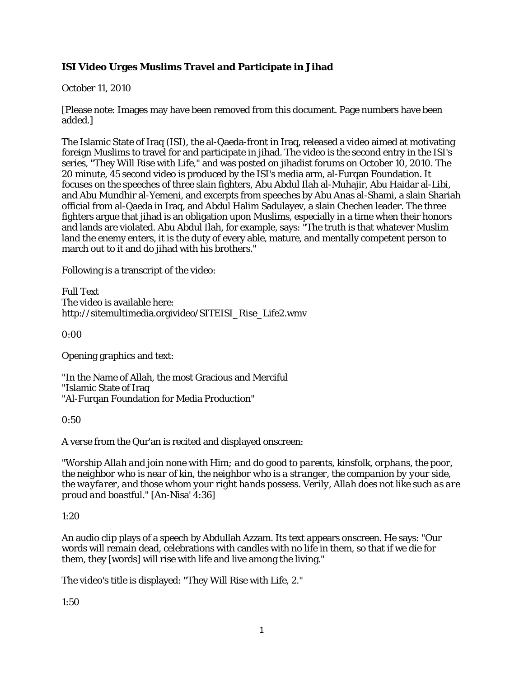# **ISI Video Urges Muslims Travel and Participate in Jihad**

October 11, 2010

[Please note: Images may have been removed from this document. Page numbers have been added.]

The Islamic State of Iraq (ISI), the al-Qaeda-front in Iraq, released a video aimed at motivating foreign Muslims to travel for and participate in jihad. The video is the second entry in the ISI's series, "They Will Rise with Life," and was posted on jihadist forums on October 10, 2010. The 20 minute, 45 second video is produced by the ISI's media arm, al-Furqan Foundation. It focuses on the speeches of three slain fighters, Abu Abdul Ilah al-Muhajir, Abu Haidar al-Libi, and Abu Mundhir al-Yemeni, and excerpts from speeches by Abu Anas al-Shami, a slain Shariah official from al-Qaeda in Iraq, and Abdul Halim Sadulayev, a slain Chechen leader. The three fighters argue that jihad is an obligation upon Muslims, especially in a time when their honors and lands are violated. Abu Abdul Ilah, for example, says: "The truth is that whatever Muslim land the enemy enters, it is the duty of every able, mature, and mentally competent person to march out to it and do jihad with his brothers."

Following is a transcript of the video:

Full Text The video is available here: http://sitemultimedia.orgivideo/SITEISI\_Rise\_Life2.wmv

0:00

Opening graphics and text:

"In the Name of Allah, the most Gracious and Merciful "Islamic State of Iraq "Al-Furqan Foundation for Media Production"

0:50

A verse from the Qur'an is recited and displayed onscreen:

*"Worship Allah and join none with Him; and do good to parents, kinsfolk, orphans, the poor, the neighbor who is near of kin, the neighbor who is a stranger, the companion by your side, the wayfarer, and those whom your right hands possess. Verily, Allah does not like such as are proud and boastful."* [An-Nisa' 4:36]

1:20

An audio clip plays of a speech by Abdullah Azzam. Its text appears onscreen. He says: "Our words will remain dead, celebrations with candles with no life in them, so that if we die for them, they [words] will rise with life and live among the living."

The video's title is displayed: "They Will Rise with Life, 2."

1:50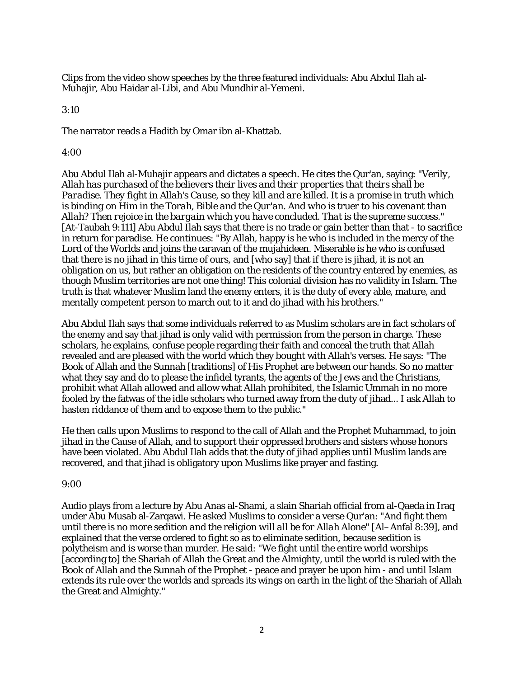Clips from the video show speeches by the three featured individuals: Abu Abdul Ilah al-Muhajir, Abu Haidar al-Libi, and Abu Mundhir al-Yemeni.

3:10

The narrator reads a Hadith by Omar ibn al-Khattab.

4:00

Abu Abdul Ilah al-Muhajir appears and dictates a speech. He cites the Qur'an, saying: *"Verily, Allah has purchased of the believers their lives and their properties that theirs shall be Paradise. They fight in Allah's Cause, so they kill and are killed. It is a promise in truth which is binding on Him in the Torah, Bible and the Qur'an. And who is truer to his covenant than Allah? Then rejoice in the bargain which you have concluded. That is the supreme success."*  [At-Taubah 9:111] Abu Abdul Ilah says that there is no trade or gain better than that - to sacrifice in return for paradise. He continues: "By Allah, happy is he who is included in the mercy of the Lord of the Worlds and joins the caravan of the mujahideen. Miserable is he who is confused that there is no jihad in this time of ours, and [who say] that if there is jihad, it is not an obligation on us, but rather an obligation on the residents of the country entered by enemies, as though Muslim territories are not one thing! This colonial division has no validity in Islam. The truth is that whatever Muslim land the enemy enters, it is the duty of every able, mature, and mentally competent person to march out to it and do jihad with his brothers."

Abu Abdul Ilah says that some individuals referred to as Muslim scholars are in fact scholars of the enemy and say that jihad is only valid with permission from the person in charge. These scholars, he explains, confuse people regarding their faith and conceal the truth that Allah revealed and are pleased with the world which they bought with Allah's verses. He says: "The Book of Allah and the Sunnah [traditions] of His Prophet are between our hands. So no matter what they say and do to please the infidel tyrants, the agents of the Jews and the Christians, prohibit what Allah allowed and allow what Allah prohibited, the Islamic Ummah in no more fooled by the fatwas of the idle scholars who turned away from the duty of jihad... I ask Allah to hasten riddance of them and to expose them to the public."

He then calls upon Muslims to respond to the call of Allah and the Prophet Muhammad, to join jihad in the Cause of Allah, and to support their oppressed brothers and sisters whose honors have been violated. Abu Abdul Ilah adds that the duty of jihad applies until Muslim lands are recovered, and that jihad is obligatory upon Muslims like prayer and fasting.

#### 9:00

Audio plays from a lecture by Abu Anas al-Shami, a slain Shariah official from al-Qaeda in Iraq under Abu Musab al-Zarqawi. He asked Muslims to consider a verse Qur'an: *"And fight them until there is no more sedition and the religion will all be for Allah Alone"* [Al–Anfal 8:39], and explained that the verse ordered to fight so as to eliminate sedition, because sedition is polytheism and is worse than murder. He said: "We fight until the entire world worships [according to] the Shariah of Allah the Great and the Almighty, until the world is ruled with the Book of Allah and the Sunnah of the Prophet - peace and prayer be upon him - and until Islam extends its rule over the worlds and spreads its wings on earth in the light of the Shariah of Allah the Great and Almighty."